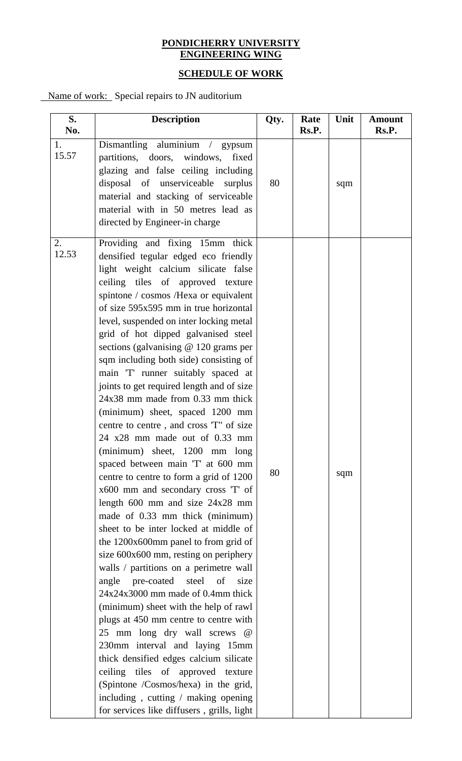#### **PONDICHERRY UNIVERSITY ENGINEERING WING**

# **SCHEDULE OF WORK**

Name of work: Special repairs to JN auditorium

| S.          | <b>Description</b>                                                                                                                                                                                                                                                                                                                                                                                                                                                                                                                                                                                                                                                                                                                                                                                                                                                                                                                                                                                                                                                                                                                                                                                                                                                                                                                                                                                                                                                                                                    | Qty. | Rate  | Unit | <b>Amount</b> |
|-------------|-----------------------------------------------------------------------------------------------------------------------------------------------------------------------------------------------------------------------------------------------------------------------------------------------------------------------------------------------------------------------------------------------------------------------------------------------------------------------------------------------------------------------------------------------------------------------------------------------------------------------------------------------------------------------------------------------------------------------------------------------------------------------------------------------------------------------------------------------------------------------------------------------------------------------------------------------------------------------------------------------------------------------------------------------------------------------------------------------------------------------------------------------------------------------------------------------------------------------------------------------------------------------------------------------------------------------------------------------------------------------------------------------------------------------------------------------------------------------------------------------------------------------|------|-------|------|---------------|
| No.<br>1.   |                                                                                                                                                                                                                                                                                                                                                                                                                                                                                                                                                                                                                                                                                                                                                                                                                                                                                                                                                                                                                                                                                                                                                                                                                                                                                                                                                                                                                                                                                                                       |      | Rs.P. |      | Rs.P.         |
| 15.57       | Dismantling aluminium / gypsum<br>partitions, doors, windows,<br>fixed<br>glazing and false ceiling including<br>disposal of unserviceable surplus<br>material and stacking of serviceable<br>material with in 50 metres lead as<br>directed by Engineer-in charge                                                                                                                                                                                                                                                                                                                                                                                                                                                                                                                                                                                                                                                                                                                                                                                                                                                                                                                                                                                                                                                                                                                                                                                                                                                    | 80   |       | sqm  |               |
| 2.<br>12.53 | Providing and fixing 15mm thick<br>densified tegular edged eco friendly<br>light weight calcium silicate false<br>ceiling tiles of approved texture<br>spintone / cosmos /Hexa or equivalent<br>of size 595x595 mm in true horizontal<br>level, suspended on inter locking metal<br>grid of hot dipped galvanised steel<br>sections (galvanising $@$ 120 grams per<br>sqm including both side) consisting of<br>main 'T' runner suitably spaced at<br>joints to get required length and of size<br>24x38 mm made from 0.33 mm thick<br>(minimum) sheet, spaced 1200 mm<br>centre to centre, and cross 'T" of size<br>24 x28 mm made out of 0.33 mm<br>(minimum) sheet, 1200 mm long<br>spaced between main 'T' at 600 mm<br>centre to centre to form a grid of 1200<br>x600 mm and secondary cross 'T' of<br>length $600$ mm and size $24x28$ mm<br>made of 0.33 mm thick (minimum)<br>sheet to be inter locked at middle of<br>the 1200x600mm panel to from grid of<br>size 600x600 mm, resting on periphery<br>walls / partitions on a perimetre wall<br>pre-coated steel<br>of<br>size<br>angle<br>$24x24x3000$ mm made of 0.4mm thick<br>(minimum) sheet with the help of rawl<br>plugs at 450 mm centre to centre with<br>25 mm long dry wall screws<br>$\omega$<br>230mm interval and laying 15mm<br>thick densified edges calcium silicate<br>ceiling tiles of approved texture<br>(Spintone /Cosmos/hexa) in the grid,<br>including, cutting $/$ making opening<br>for services like diffusers, grills, light | 80   |       | sqm  |               |